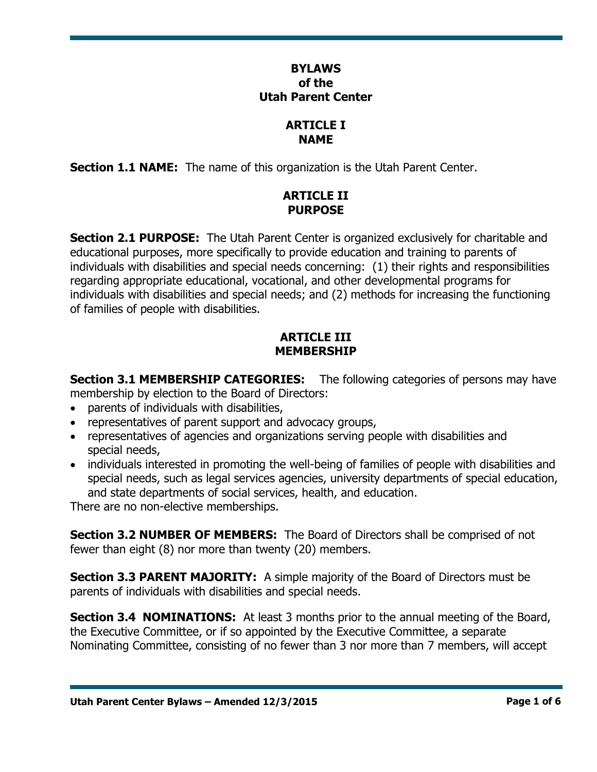### **BYLAWS of the Utah Parent Center**

#### **ARTICLE I NAME**

**Section 1.1 NAME:** The name of this organization is the Utah Parent Center.

## **ARTICLE II PURPOSE**

**Section 2.1 PURPOSE:** The Utah Parent Center is organized exclusively for charitable and educational purposes, more specifically to provide education and training to parents of individuals with disabilities and special needs concerning: (1) their rights and responsibilities regarding appropriate educational, vocational, and other developmental programs for individuals with disabilities and special needs; and (2) methods for increasing the functioning of families of people with disabilities.

### **ARTICLE III MEMBERSHIP**

**Section 3.1 MEMBERSHIP CATEGORIES:** The following categories of persons may have membership by election to the Board of Directors:

- parents of individuals with disabilities,
- representatives of parent support and advocacy groups,
- representatives of agencies and organizations serving people with disabilities and special needs,
- individuals interested in promoting the well-being of families of people with disabilities and special needs, such as legal services agencies, university departments of special education, and state departments of social services, health, and education.

There are no non-elective memberships.

**Section 3.2 NUMBER OF MEMBERS:** The Board of Directors shall be comprised of not fewer than eight (8) nor more than twenty (20) members.

**Section 3.3 PARENT MAJORITY:** A simple majority of the Board of Directors must be parents of individuals with disabilities and special needs.

**Section 3.4 NOMINATIONS:** At least 3 months prior to the annual meeting of the Board, the Executive Committee, or if so appointed by the Executive Committee, a separate Nominating Committee, consisting of no fewer than 3 nor more than 7 members, will accept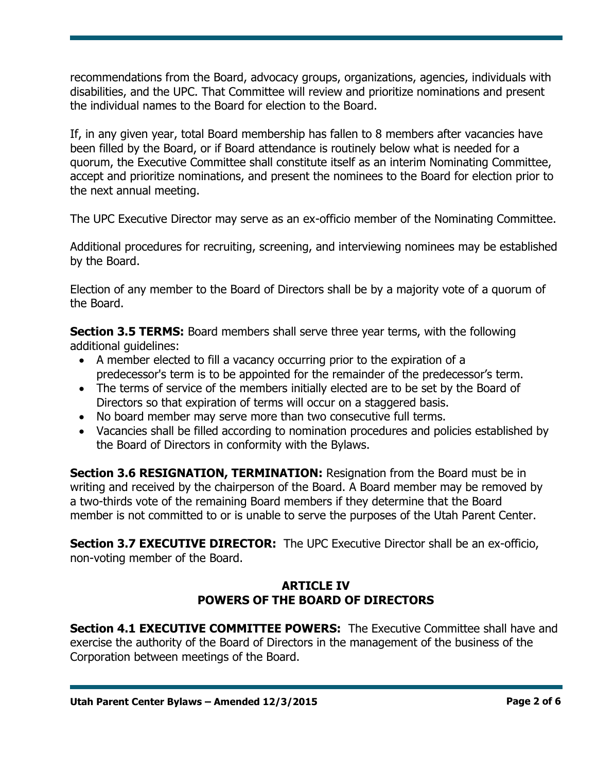recommendations from the Board, advocacy groups, organizations, agencies, individuals with disabilities, and the UPC. That Committee will review and prioritize nominations and present the individual names to the Board for election to the Board.

If, in any given year, total Board membership has fallen to 8 members after vacancies have been filled by the Board, or if Board attendance is routinely below what is needed for a quorum, the Executive Committee shall constitute itself as an interim Nominating Committee, accept and prioritize nominations, and present the nominees to the Board for election prior to the next annual meeting.

The UPC Executive Director may serve as an ex-officio member of the Nominating Committee.

Additional procedures for recruiting, screening, and interviewing nominees may be established by the Board.

Election of any member to the Board of Directors shall be by a majority vote of a quorum of the Board.

**Section 3.5 TERMS:** Board members shall serve three year terms, with the following additional quidelines:

- A member elected to fill a vacancy occurring prior to the expiration of a predecessor's term is to be appointed for the remainder of the predecessor's term.
- The terms of service of the members initially elected are to be set by the Board of Directors so that expiration of terms will occur on a staggered basis.
- No board member may serve more than two consecutive full terms.
- Vacancies shall be filled according to nomination procedures and policies established by the Board of Directors in conformity with the Bylaws.

**Section 3.6 RESIGNATION, TERMINATION: Resignation from the Board must be in** writing and received by the chairperson of the Board. A Board member may be removed by a two-thirds vote of the remaining Board members if they determine that the Board member is not committed to or is unable to serve the purposes of the Utah Parent Center.

**Section 3.7 EXECUTIVE DIRECTOR:** The UPC Executive Director shall be an ex-officio, non-voting member of the Board.

# **ARTICLE IV POWERS OF THE BOARD OF DIRECTORS**

**Section 4.1 EXECUTIVE COMMITTEE POWERS:** The Executive Committee shall have and exercise the authority of the Board of Directors in the management of the business of the Corporation between meetings of the Board.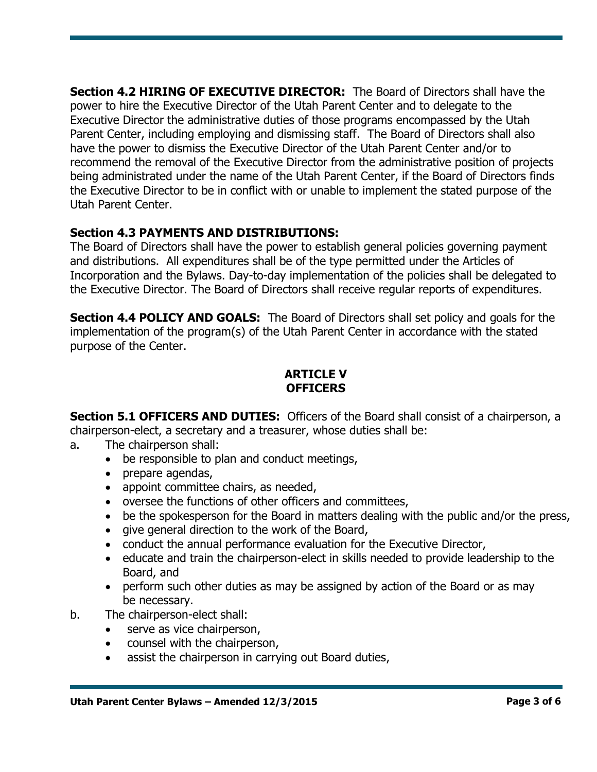**Section 4.2 HIRING OF EXECUTIVE DIRECTOR:** The Board of Directors shall have the power to hire the Executive Director of the Utah Parent Center and to delegate to the Executive Director the administrative duties of those programs encompassed by the Utah Parent Center, including employing and dismissing staff. The Board of Directors shall also have the power to dismiss the Executive Director of the Utah Parent Center and/or to recommend the removal of the Executive Director from the administrative position of projects being administrated under the name of the Utah Parent Center, if the Board of Directors finds the Executive Director to be in conflict with or unable to implement the stated purpose of the Utah Parent Center.

# **Section 4.3 PAYMENTS AND DISTRIBUTIONS:**

The Board of Directors shall have the power to establish general policies governing payment and distributions. All expenditures shall be of the type permitted under the Articles of Incorporation and the Bylaws. Day-to-day implementation of the policies shall be delegated to the Executive Director. The Board of Directors shall receive regular reports of expenditures.

**Section 4.4 POLICY AND GOALS:** The Board of Directors shall set policy and goals for the implementation of the program(s) of the Utah Parent Center in accordance with the stated purpose of the Center.

# **ARTICLE V OFFICERS**

**Section 5.1 OFFICERS AND DUTIES:** Officers of the Board shall consist of a chairperson, a chairperson-elect, a secretary and a treasurer, whose duties shall be:

a. The chairperson shall:

- be responsible to plan and conduct meetings,
- prepare agendas,
- appoint committee chairs, as needed,
- oversee the functions of other officers and committees,
- be the spokesperson for the Board in matters dealing with the public and/or the press,
- give general direction to the work of the Board,
- conduct the annual performance evaluation for the Executive Director,
- educate and train the chairperson-elect in skills needed to provide leadership to the Board, and
- perform such other duties as may be assigned by action of the Board or as may be necessary.
- b. The chairperson-elect shall:
	- serve as vice chairperson,
	- counsel with the chairperson,
	- assist the chairperson in carrying out Board duties,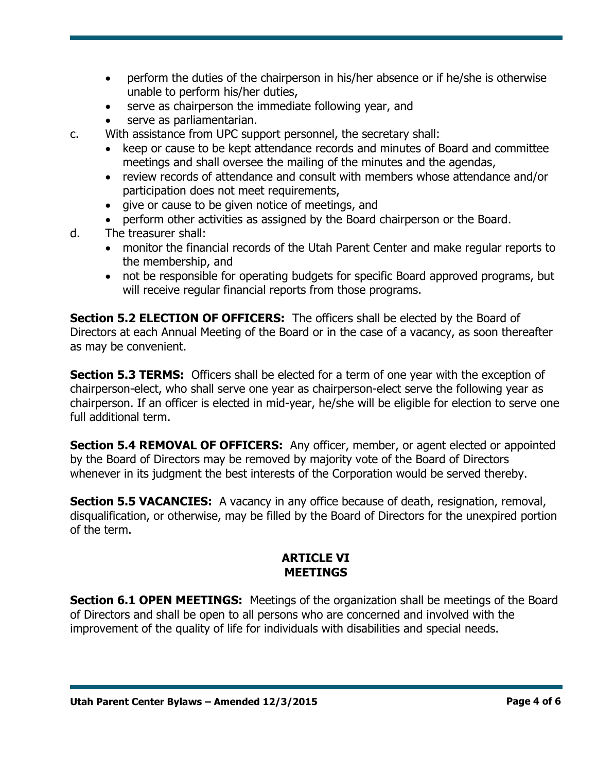- perform the duties of the chairperson in his/her absence or if he/she is otherwise unable to perform his/her duties,
- serve as chairperson the immediate following year, and
- serve as parliamentarian.
- c. With assistance from UPC support personnel, the secretary shall:
	- keep or cause to be kept attendance records and minutes of Board and committee meetings and shall oversee the mailing of the minutes and the agendas,
	- review records of attendance and consult with members whose attendance and/or participation does not meet requirements,
	- give or cause to be given notice of meetings, and
	- perform other activities as assigned by the Board chairperson or the Board.
- d. The treasurer shall:
	- monitor the financial records of the Utah Parent Center and make regular reports to the membership, and
	- not be responsible for operating budgets for specific Board approved programs, but will receive regular financial reports from those programs.

**Section 5.2 ELECTION OF OFFICERS:** The officers shall be elected by the Board of Directors at each Annual Meeting of the Board or in the case of a vacancy, as soon thereafter as may be convenient.

**Section 5.3 TERMS:** Officers shall be elected for a term of one year with the exception of chairperson-elect, who shall serve one year as chairperson-elect serve the following year as chairperson. If an officer is elected in mid-year, he/she will be eligible for election to serve one full additional term.

**Section 5.4 REMOVAL OF OFFICERS:** Any officer, member, or agent elected or appointed by the Board of Directors may be removed by majority vote of the Board of Directors whenever in its judgment the best interests of the Corporation would be served thereby.

**Section 5.5 VACANCIES:** A vacancy in any office because of death, resignation, removal, disqualification, or otherwise, may be filled by the Board of Directors for the unexpired portion of the term.

# **ARTICLE VI MEETINGS**

**Section 6.1 OPEN MEETINGS:** Meetings of the organization shall be meetings of the Board of Directors and shall be open to all persons who are concerned and involved with the improvement of the quality of life for individuals with disabilities and special needs.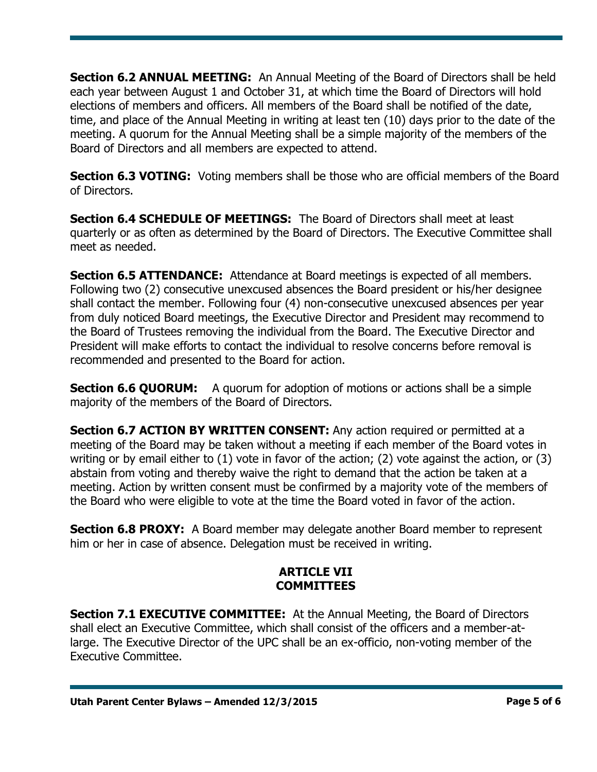**Section 6.2 ANNUAL MEETING:** An Annual Meeting of the Board of Directors shall be held each year between August 1 and October 31, at which time the Board of Directors will hold elections of members and officers. All members of the Board shall be notified of the date, time, and place of the Annual Meeting in writing at least ten (10) days prior to the date of the meeting. A quorum for the Annual Meeting shall be a simple majority of the members of the Board of Directors and all members are expected to attend.

**Section 6.3 VOTING:** Voting members shall be those who are official members of the Board of Directors.

**Section 6.4 SCHEDULE OF MEETINGS:** The Board of Directors shall meet at least quarterly or as often as determined by the Board of Directors. The Executive Committee shall meet as needed.

**Section 6.5 ATTENDANCE:** Attendance at Board meetings is expected of all members. Following two (2) consecutive unexcused absences the Board president or his/her designee shall contact the member. Following four (4) non-consecutive unexcused absences per year from duly noticed Board meetings, the Executive Director and President may recommend to the Board of Trustees removing the individual from the Board. The Executive Director and President will make efforts to contact the individual to resolve concerns before removal is recommended and presented to the Board for action.

**Section 6.6 QUORUM:** A quorum for adoption of motions or actions shall be a simple majority of the members of the Board of Directors.

**Section 6.7 ACTION BY WRITTEN CONSENT:** Any action required or permitted at a meeting of the Board may be taken without a meeting if each member of the Board votes in writing or by email either to (1) vote in favor of the action; (2) vote against the action, or (3) abstain from voting and thereby waive the right to demand that the action be taken at a meeting. Action by written consent must be confirmed by a majority vote of the members of the Board who were eligible to vote at the time the Board voted in favor of the action.

**Section 6.8 PROXY:** A Board member may delegate another Board member to represent him or her in case of absence. Delegation must be received in writing.

# **ARTICLE VII COMMITTEES**

**Section 7.1 EXECUTIVE COMMITTEE:** At the Annual Meeting, the Board of Directors shall elect an Executive Committee, which shall consist of the officers and a member-atlarge. The Executive Director of the UPC shall be an ex-officio, non-voting member of the Executive Committee.